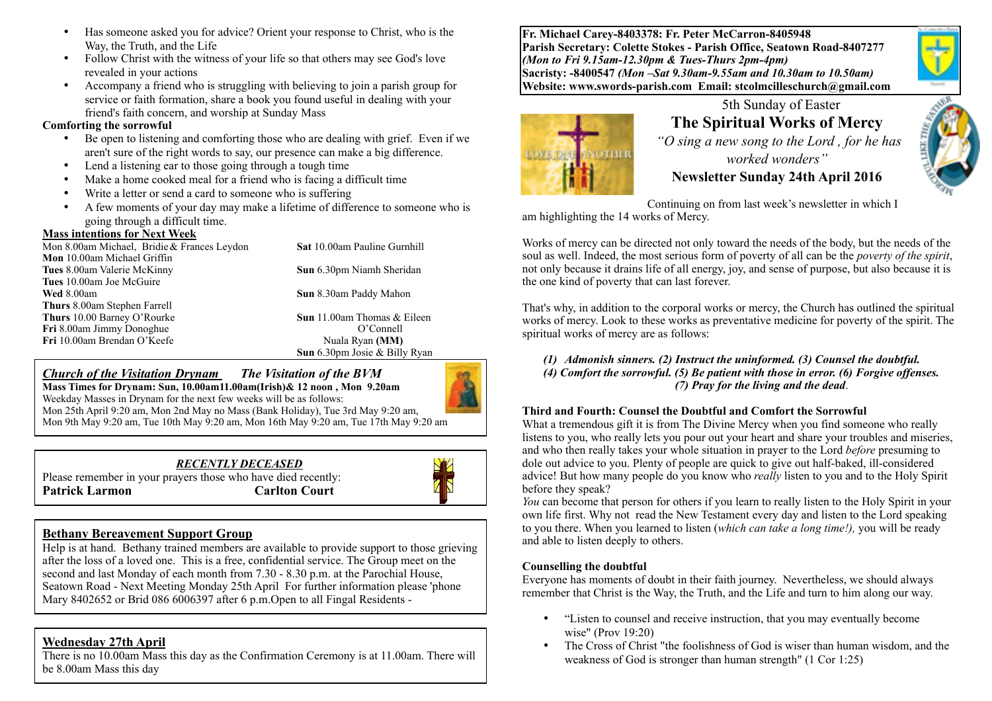- Has someone asked you for advice? Orient your response to Christ, who is the Way, the Truth, and the Life
- Follow Christ with the witness of your life so that others may see God's love revealed in your actions
- Accompany a friend who is struggling with believing to join a parish group for service or faith formation, share a book you found useful in dealing with your friend's faith concern, and worship at Sunday Mass

#### **Comforting the sorrowful**

- Be open to listening and comforting those who are dealing with grief. Even if we aren't sure of the right words to say, our presence can make a big difference.
- Lend a listening ear to those going through a tough time
- Make a home cooked meal for a friend who is facing a difficult time
- Write a letter or send a card to someone who is suffering
- A few moments of your day may make a lifetime of difference to someone who is going through a difficult time.

#### **Mass intentions for Next Week**

| $1.1.0000$ and $0.00000$ and $0.00000$ and $0.00000$ and $0.00000$ |                                      |
|--------------------------------------------------------------------|--------------------------------------|
| Mon 8.00am Michael, Bridie & Frances Leydon                        | <b>Sat 10.00am Pauline Gurnhill</b>  |
| <b>Mon</b> 10.00am Michael Griffin                                 |                                      |
| Tues 8.00am Valerie McKinny                                        | <b>Sun</b> 6.30pm Niamh Sheridan     |
| Tues 10.00am Joe McGuire                                           |                                      |
| Wed 8.00am                                                         | Sun 8.30am Paddy Mahon               |
| <b>Thurs</b> 8.00am Stephen Farrell                                |                                      |
| Thurs 10.00 Barney O'Rourke                                        | <b>Sun</b> 11.00am Thomas & Eileen   |
| Fri 8.00am Jimmy Donoghue                                          | O'Connell                            |
| Fri 10.00am Brendan O'Keefe                                        | Nuala Ryan (MM)                      |
|                                                                    | <b>Sun</b> 6.30pm Josie & Billy Ryan |

#### *Church of the Visitation Drynam**The Visitation of the BVM*

**Mass Times for Drynam: Sun, 10.00am11.00am(Irish)& 12 noon , Mon 9.20am**  Weekday Masses in Drynam for the next few weeks will be as follows: Mon 25th April 9:20 am, Mon 2nd May no Mass (Bank Holiday), Tue 3rd May 9:20 am, Mon 9th May 9:20 am, Tue 10th May 9:20 am, Mon 16th May 9:20 am, Tue 17th May 9:20 am

*RECENTLY DECEASED* 



#### Please remember in your prayers those who have died recently: **Patrick Larmon** Carlton Court



#### **Bethany Bereavement Support Group**

Help is at hand. Bethany trained members are available to provide support to those grieving after the loss of a loved one. This is a free, confidential service. The Group meet on the second and last Monday of each month from 7.30 - 8.30 p.m. at the Parochial House, Seatown Road - Next Meeting Monday 25th April For further information please 'phone Mary 8402652 or Brid 086 6006397 after 6 p.m. Open to all Fingal Residents -

#### **Wednesday 27th April**

There is no 10.00am Mass this day as the Confirmation Ceremony is at 11.00am. There will be 8.00am Mass this day

**Fr. Michael Carey-8403378: Fr. Peter McCarron-8405948 Parish Secretary: Colette Stokes - Parish Office, Seatown Road-8407277**  *(Mon to Fri 9.15am-12.30pm & Tues-Thurs 2pm-4pm)*  **Sacristy: -8400547** *(Mon –Sat 9.30am-9.55am and 10.30am to 10.50am)* **Website: [www.swords-parish.com Email:](http://www.swords-parish.com%20%20email) stcolmcilleschurch@gmail.com**





# 5th Sunday of Easter **The Spiritual Works of Mercy**

 *"O sing a new song to the Lord , for he has worked wonders"*  **Newsletter Sunday 24th April 2016** 



Continuing on from last week's newsletter in which I am highlighting the 14 works of Mercy.

Works of mercy can be directed not only toward the needs of the body, but the needs of the soul as well. Indeed, the most serious form of poverty of all can be the *poverty of the spirit*, not only because it drains life of all energy, joy, and sense of purpose, but also because it is the one kind of poverty that can last forever.

That's why, in addition to the corporal works or mercy, the Church has outlined the spiritual works of mercy. Look to these works as preventative medicine for poverty of the spirit. The spiritual works of mercy are as follows:

*(1) Admonish sinners. (2) Instruct the uninformed. (3) Counsel the doubtful. (4) Comfort the sorrowful. (5) Be patient with those in error. (6) Forgive offenses. (7) Pray for the living and the dead*.

#### **Third and Fourth: Counsel the Doubtful and Comfort the Sorrowful**

What a tremendous gift it is from The Divine Mercy when you find someone who really listens to you, who really lets you pour out your heart and share your troubles and miseries, and who then really takes your whole situation in prayer to the Lord *before* presuming to dole out advice to you. Plenty of people are quick to give out half-baked, ill-considered advice! But how many people do you know who *really* listen to you and to the Holy Spirit before they speak?

*You* can become that person for others if you learn to really listen to the Holy Spirit in your own life first. Why not read the New Testament every day and listen to the Lord speaking to you there. When you learned to listen (*which can take a long time!),* you will be ready and able to listen deeply to others.

#### **Counselling the doubtful**

Everyone has moments of doubt in their faith journey. Nevertheless, we should always remember that Christ is the Way, the Truth, and the Life and turn to him along our way.

- "Listen to counsel and receive instruction, that you may eventually become wise" (Prov 19:20)
- The Cross of Christ "the foolishness of God is wiser than human wisdom, and the weakness of God is stronger than human strength" (1 Cor 1:25)